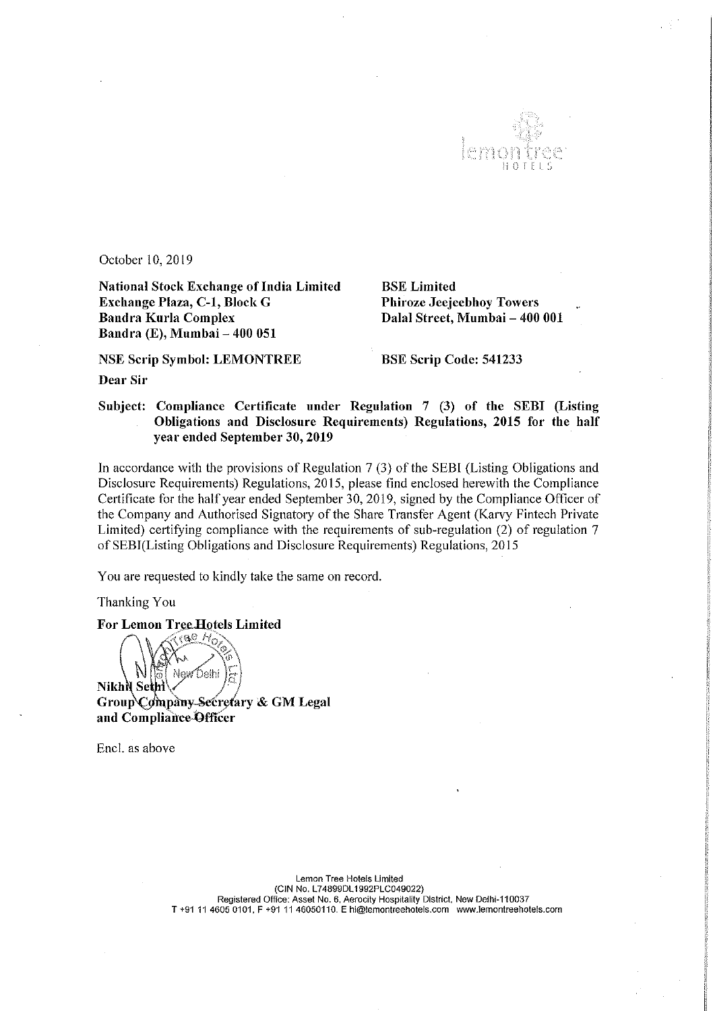

October 10, 2019

National Stock Exchange of India Limited<br>
BSE Limited<br>
Biroze Jeeje<br>
Phiroze Jeeje Bandra Kurla Complex Bandra (E), Mumbai — 400 051

Phiroze Jeejeebhoy Towers Dalal Street, Mumbai - 400 001

NSE Scrip Symbol: LEMONTREE BSE Scrip Code: 541233

Dear Sir

## Subject: Compliance Certificate under Regulation <sup>7</sup> (3) of the SEBI (Listing Obligations and Disclosure Requirements) Regulations, <sup>2015</sup> for the half year ended September 30, 2019

In accordance with the provisions of Regulation <sup>7</sup> (3) of the SEBI (Listing Obligations and Disclosure Requirements) Regulations, 2015, please find enclosed herewith the Compliance Certificate for the half year ended September 30, 2019, signed by the Compliance Officer of the Company and Authorised Signatory of the Share Transfer Agent (Karvy Fintech Private Limited) certifying compliance with the requirements of sub—regulation (2) of regulation <sup>7</sup> of SEBI(Listing Obligations and Disclosure Requirements) Regulations, 2015

You are requested to kindly take the same on record.

Thanking You

For Lemon Tree Hotels Limited

Dethi **Nikh NSeth** Group Company Secretary & GM Legal and Compliance Officer

Encl. as above